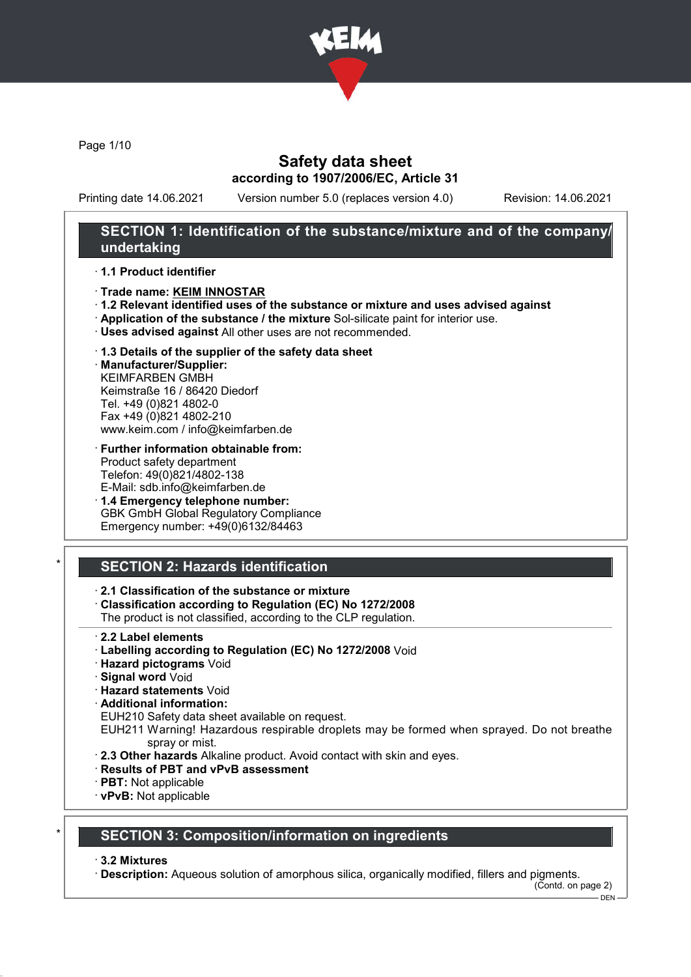

Page 1/10

## Safety data sheet according to 1907/2006/EC, Article 31

Printing date 14.06.2021 Version number 5.0 (replaces version 4.0) Revision: 14.06.2021

### SECTION 1: Identification of the substance/mixture and of the company/ undertaking

#### · 1.1 Product identifier

- · Trade name: KEIM INNOSTAR
- · 1.2 Relevant identified uses of the substance or mixture and uses advised against
- · Application of the substance / the mixture Sol-silicate paint for interior use.
- · Uses advised against All other uses are not recommended.

### · 1.3 Details of the supplier of the safety data sheet

· Manufacturer/Supplier: KEIMFARBEN GMBH Keimstraße 16 / 86420 Diedorf Tel. +49 (0)821 4802-0 Fax +49 (0)821 4802-210 www.keim.com / info@keimfarben.de

- · Further information obtainable from: Product safety department Telefon: 49(0)821/4802-138 E-Mail: sdb.info@keimfarben.de
- · 1.4 Emergency telephone number: GBK GmbH Global Regulatory Compliance Emergency number: +49(0)6132/84463

## **SECTION 2: Hazards identification**

#### · 2.1 Classification of the substance or mixture

· Classification according to Regulation (EC) No 1272/2008

The product is not classified, according to the CLP regulation.

- · 2.2 Label elements
- · Labelling according to Regulation (EC) No 1272/2008 Void
- · Hazard pictograms Void
- · Signal word Void
- · Hazard statements Void
- · Additional information:

EUH210 Safety data sheet available on request.

EUH211 Warning! Hazardous respirable droplets may be formed when sprayed. Do not breathe spray or mist.

- · 2.3 Other hazards Alkaline product. Avoid contact with skin and eyes.
- · Results of PBT and vPvB assessment
- · PBT: Not applicable
- · vPvB: Not applicable

### **SECTION 3: Composition/information on ingredients**

#### · 3.2 Mixtures

· Description: Aqueous solution of amorphous silica, organically modified, fillers and pigments.

(Contd. on page 2)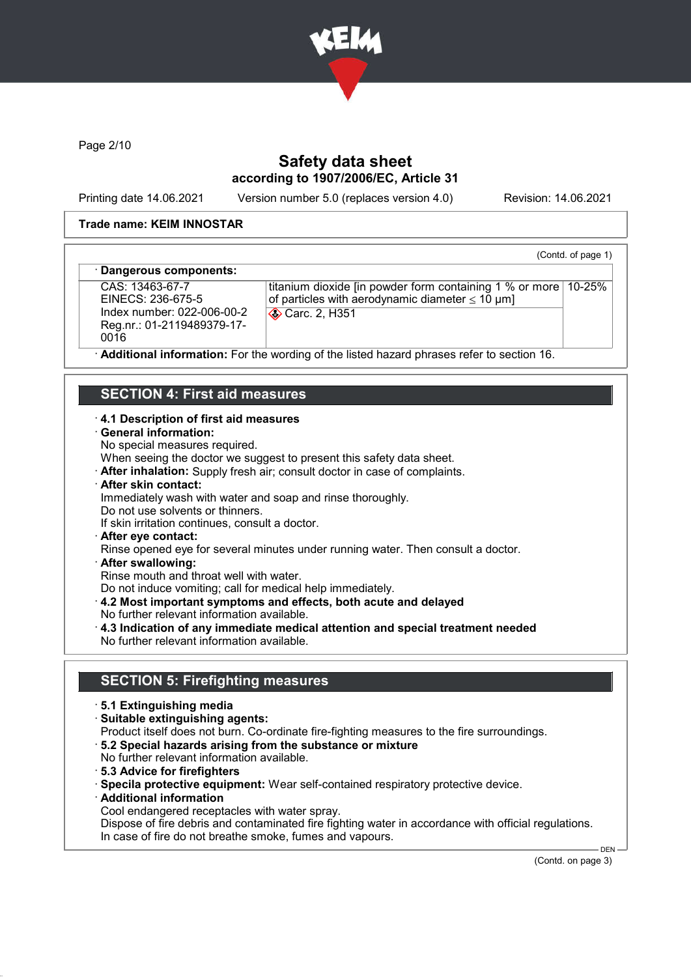

Page 2/10

## Safety data sheet according to 1907/2006/EC, Article 31

Printing date 14.06.2021 Version number 5.0 (replaces version 4.0) Revision: 14.06.2021

(Contd. of page 1)

### Trade name: KEIM INNOSTAR

### Dangerous components:

CAS: 13463-67-7 EINECS: 236-675-5 Index number: 022-006-00-2 Reg.nr.: 01-2119489379-17- 0016

titanium dioxide [in powder form containing 1 % or more 10-25% of particles with aerodynamic diameter  $\leq 10 \text{ }\mu\text{m}$ ] **Carc. 2, H351** 

Additional information: For the wording of the listed hazard phrases refer to section 16.

## SECTION 4: First aid measures

### · 4.1 Description of first aid measures

#### · General information:

No special measures required.

When seeing the doctor we suggest to present this safety data sheet.

- · After inhalation: Supply fresh air; consult doctor in case of complaints.
- · After skin contact:

Immediately wash with water and soap and rinse thoroughly.

- Do not use solvents or thinners.
- If skin irritation continues, consult a doctor.
- · After eye contact:

Rinse opened eye for several minutes under running water. Then consult a doctor.

· After swallowing:

Rinse mouth and throat well with water.

Do not induce vomiting; call for medical help immediately.

- · 4.2 Most important symptoms and effects, both acute and delayed
- No further relevant information available.
- · 4.3 Indication of any immediate medical attention and special treatment needed No further relevant information available.

### SECTION 5: Firefighting measures

- · 5.1 Extinguishing media
- · Suitable extinguishing agents:
- Product itself does not burn. Co-ordinate fire-fighting measures to the fire surroundings.
- · 5.2 Special hazards arising from the substance or mixture
- No further relevant information available.
- · 5.3 Advice for firefighters
- · Specila protective equipment: Wear self-contained respiratory protective device.
- · Additional information
- Cool endangered receptacles with water spray.

Dispose of fire debris and contaminated fire fighting water in accordance with official regulations. In case of fire do not breathe smoke, fumes and vapours.

(Contd. on page 3)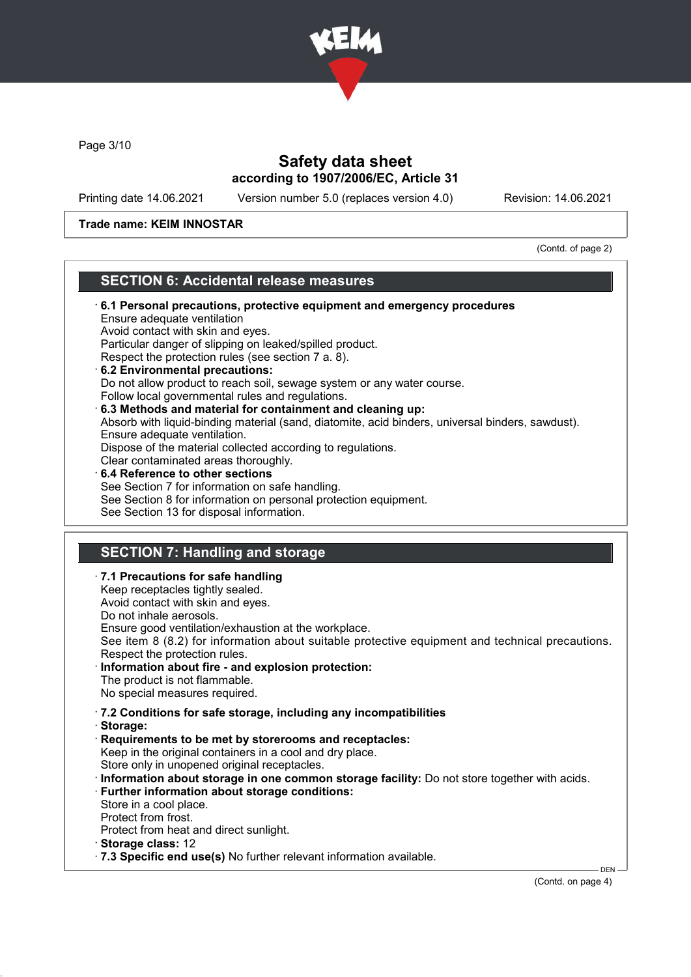

Page 3/10

# Safety data sheet according to 1907/2006/EC, Article 31

Printing date 14.06.2021 Version number 5.0 (replaces version 4.0) Revision: 14.06.2021

### Trade name: KEIM INNOSTAR

(Contd. of page 2)

### SECTION 6: Accidental release measures

| 6.1 Personal precautions, protective equipment and emergency procedures<br>Ensure adequate ventilation<br>Avoid contact with skin and eyes.<br>Particular danger of slipping on leaked/spilled product.<br>Respect the protection rules (see section 7 a. 8).<br>6.2 Environmental precautions:<br>Do not allow product to reach soil, sewage system or any water course.<br>Follow local governmental rules and regulations.<br>6.3 Methods and material for containment and cleaning up:<br>Absorb with liquid-binding material (sand, diatomite, acid binders, universal binders, sawdust).<br>Ensure adequate ventilation.<br>Dispose of the material collected according to regulations.<br>Clear contaminated areas thoroughly.<br>6.4 Reference to other sections<br>See Section 7 for information on safe handling.<br>See Section 8 for information on personal protection equipment. |
|------------------------------------------------------------------------------------------------------------------------------------------------------------------------------------------------------------------------------------------------------------------------------------------------------------------------------------------------------------------------------------------------------------------------------------------------------------------------------------------------------------------------------------------------------------------------------------------------------------------------------------------------------------------------------------------------------------------------------------------------------------------------------------------------------------------------------------------------------------------------------------------------|
| See Section 13 for disposal information.                                                                                                                                                                                                                                                                                                                                                                                                                                                                                                                                                                                                                                                                                                                                                                                                                                                       |
|                                                                                                                                                                                                                                                                                                                                                                                                                                                                                                                                                                                                                                                                                                                                                                                                                                                                                                |
| <b>SECTION 7: Handling and storage</b>                                                                                                                                                                                                                                                                                                                                                                                                                                                                                                                                                                                                                                                                                                                                                                                                                                                         |
| .7.1 Precautions for safe handling<br>Keep receptacles tightly sealed.<br>Avoid contact with skin and eyes.<br>Do not inhale aerosols.<br>Ensure good ventilation/exhaustion at the workplace.<br>See item 8 (8.2) for information about suitable protective equipment and technical precautions.<br>Respect the protection rules.<br>Information about fire - and explosion protection:<br>The product is not flammable.<br>No special measures required.                                                                                                                                                                                                                                                                                                                                                                                                                                     |
| .7.2 Conditions for safe storage, including any incompatibilities<br>Storage:<br>Requirements to be met by storerooms and receptacles:<br>Keep in the original containers in a cool and dry place.<br>Store only in unopened original receptacles.<br>· Information about storage in one common storage facility: Do not store together with acids.<br>· Further information about storage conditions:                                                                                                                                                                                                                                                                                                                                                                                                                                                                                         |

- Protect from heat and direct sunlight.
- · Storage class: 12
- · 7.3 Specific end use(s) No further relevant information available.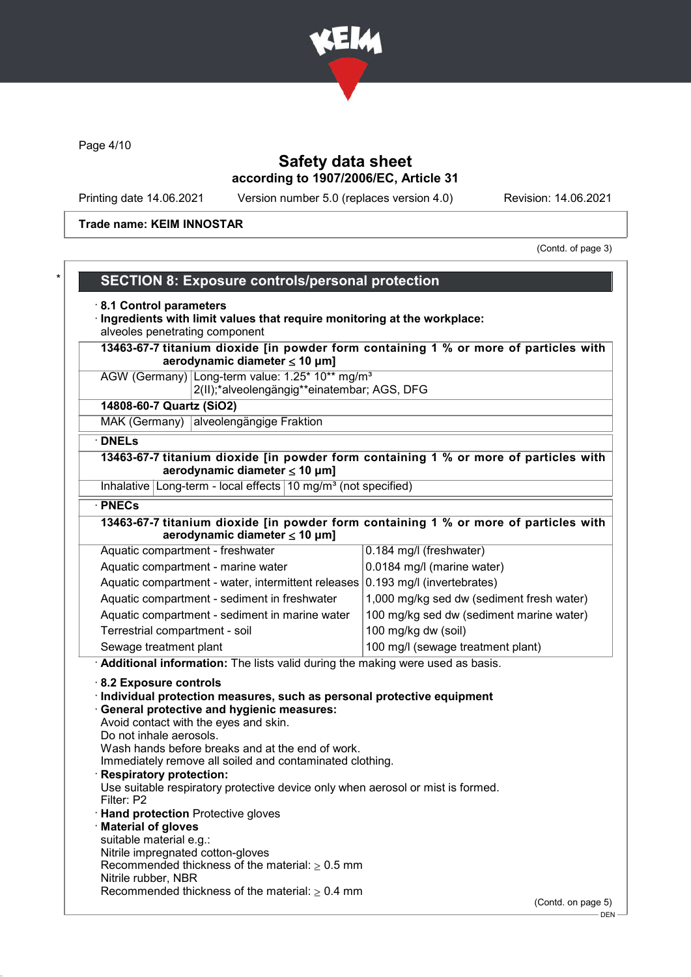

Page 4/10

# Safety data sheet according to 1907/2006/EC, Article 31

Printing date 14.06.2021 Version number 5.0 (replaces version 4.0) Revision: 14.06.2021

Trade name: KEIM INNOSTAR

(Contd. of page 3)

| <b>SECTION 8: Exposure controls/personal protection</b>                                                                                                                                                            |                                           |  |                                                                                                                                                                        |  |                                   |  |
|--------------------------------------------------------------------------------------------------------------------------------------------------------------------------------------------------------------------|-------------------------------------------|--|------------------------------------------------------------------------------------------------------------------------------------------------------------------------|--|-----------------------------------|--|
| 8.1 Control parameters                                                                                                                                                                                             |                                           |  |                                                                                                                                                                        |  |                                   |  |
| Ingredients with limit values that require monitoring at the workplace:<br>alveoles penetrating component                                                                                                          |                                           |  |                                                                                                                                                                        |  |                                   |  |
|                                                                                                                                                                                                                    |                                           |  |                                                                                                                                                                        |  |                                   |  |
| 13463-67-7 titanium dioxide [in powder form containing 1 % or more of particles with<br>aerodynamic diameter $\leq 10$ µm]<br>AGW (Germany) Long-term value: 1.25* 10** mg/m <sup>3</sup>                          |                                           |  |                                                                                                                                                                        |  |                                   |  |
|                                                                                                                                                                                                                    |                                           |  | 2(II);*alveolengängig**einatembar; AGS, DFG                                                                                                                            |  |                                   |  |
| 14808-60-7 Quartz (SiO2)                                                                                                                                                                                           |                                           |  |                                                                                                                                                                        |  |                                   |  |
| MAK (Germany) alveolengängige Fraktion                                                                                                                                                                             |                                           |  |                                                                                                                                                                        |  |                                   |  |
| · DNELs                                                                                                                                                                                                            |                                           |  |                                                                                                                                                                        |  |                                   |  |
| 13463-67-7 titanium dioxide [in powder form containing 1 % or more of particles with<br>aerodynamic diameter $\leq 10$ µm]                                                                                         |                                           |  |                                                                                                                                                                        |  |                                   |  |
| Inhalative   Long-term - local effects   10 mg/m <sup>3</sup> (not specified)                                                                                                                                      |                                           |  |                                                                                                                                                                        |  |                                   |  |
| · PNECs                                                                                                                                                                                                            |                                           |  |                                                                                                                                                                        |  |                                   |  |
| 13463-67-7 titanium dioxide [in powder form containing 1 % or more of particles with                                                                                                                               |                                           |  |                                                                                                                                                                        |  |                                   |  |
| aerodynamic diameter $\leq 10$ µm]                                                                                                                                                                                 |                                           |  |                                                                                                                                                                        |  |                                   |  |
| Aquatic compartment - freshwater                                                                                                                                                                                   | 0.184 mg/l (freshwater)                   |  |                                                                                                                                                                        |  |                                   |  |
| Aquatic compartment - marine water                                                                                                                                                                                 | 0.0184 mg/l (marine water)                |  |                                                                                                                                                                        |  |                                   |  |
| Aquatic compartment - water, intermittent releases 0.193 mg/l (invertebrates)                                                                                                                                      |                                           |  |                                                                                                                                                                        |  |                                   |  |
| Aquatic compartment - sediment in freshwater                                                                                                                                                                       | 1,000 mg/kg sed dw (sediment fresh water) |  |                                                                                                                                                                        |  |                                   |  |
| Aquatic compartment - sediment in marine water                                                                                                                                                                     | 100 mg/kg sed dw (sediment marine water)  |  |                                                                                                                                                                        |  |                                   |  |
| Terrestrial compartment - soil                                                                                                                                                                                     | 100 mg/kg dw (soil)                       |  |                                                                                                                                                                        |  |                                   |  |
| Sewage treatment plant                                                                                                                                                                                             | 100 mg/l (sewage treatment plant)         |  |                                                                                                                                                                        |  |                                   |  |
| Additional information: The lists valid during the making were used as basis.                                                                                                                                      |                                           |  |                                                                                                                                                                        |  |                                   |  |
| 8.2 Exposure controls                                                                                                                                                                                              |                                           |  |                                                                                                                                                                        |  |                                   |  |
| Individual protection measures, such as personal protective equipment                                                                                                                                              |                                           |  |                                                                                                                                                                        |  |                                   |  |
| General protective and hygienic measures:                                                                                                                                                                          |                                           |  |                                                                                                                                                                        |  |                                   |  |
| Avoid contact with the eyes and skin.<br>Do not inhale aerosols.<br>Wash hands before breaks and at the end of work.<br>Immediately remove all soiled and contaminated clothing.<br><b>Respiratory protection:</b> |                                           |  |                                                                                                                                                                        |  |                                   |  |
|                                                                                                                                                                                                                    |                                           |  | Use suitable respiratory protective device only when aerosol or mist is formed.<br>Filter: P2<br><b>Hand protection</b> Protective gloves<br><b>Material of gloves</b> |  |                                   |  |
|                                                                                                                                                                                                                    |                                           |  |                                                                                                                                                                        |  | suitable material e.g.:           |  |
|                                                                                                                                                                                                                    |                                           |  |                                                                                                                                                                        |  | Nitrile impregnated cotton-gloves |  |
| Recommended thickness of the material: $\geq 0.5$ mm                                                                                                                                                               |                                           |  |                                                                                                                                                                        |  |                                   |  |
| Nitrile rubber, NBR<br>Recommended thickness of the material: $\geq 0.4$ mm                                                                                                                                        |                                           |  |                                                                                                                                                                        |  |                                   |  |
| (Contd. on page 5)                                                                                                                                                                                                 |                                           |  |                                                                                                                                                                        |  |                                   |  |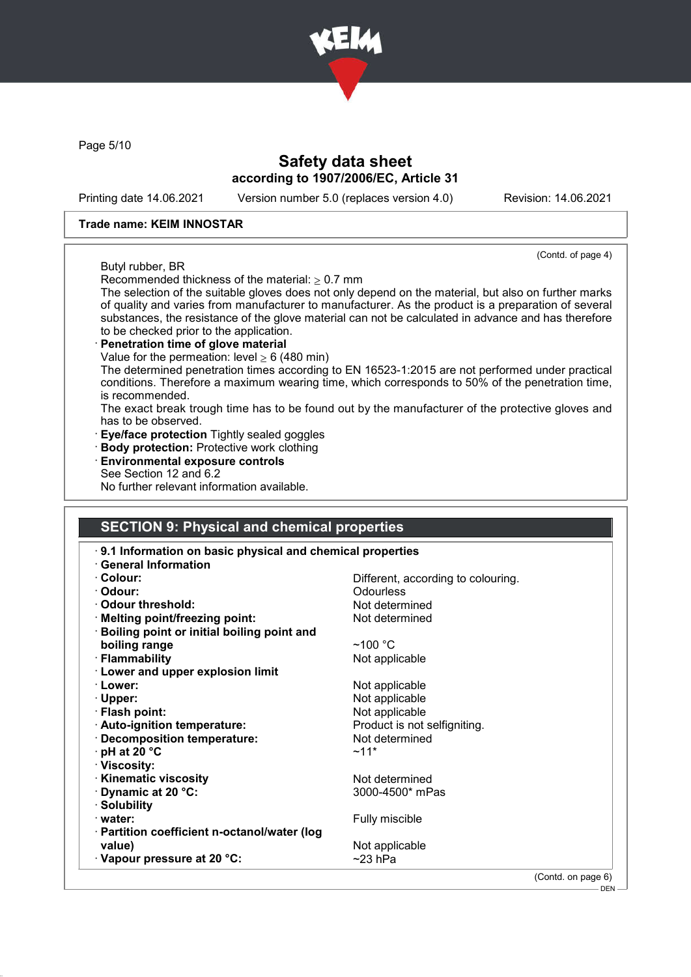

Page 5/10

### Safety data sheet according to 1907/2006/EC, Article 31

Printing date 14.06.2021 Version number 5.0 (replaces version 4.0) Revision: 14.06.2021

(Contd. of page 4)

#### Trade name: KEIM INNOSTAR

#### Butyl rubber, BR

Recommended thickness of the material:  $> 0.7$  mm

The selection of the suitable gloves does not only depend on the material, but also on further marks of quality and varies from manufacturer to manufacturer. As the product is a preparation of several substances, the resistance of the glove material can not be calculated in advance and has therefore to be checked prior to the application.

### Penetration time of glove material

Value for the permeation: level  $\geq 6$  (480 min)

The determined penetration times according to EN 16523-1:2015 are not performed under practical conditions. Therefore a maximum wearing time, which corresponds to 50% of the penetration time, is recommended.

The exact break trough time has to be found out by the manufacturer of the protective gloves and has to be observed.

**Eye/face protection** Tightly sealed goggles

### · Body protection: Protective work clothing

· Environmental exposure controls See Section 12 and 6.2 No further relevant information available.

### SECTION 9: Physical and chemical properties

| 9.1 Information on basic physical and chemical properties |                                    |
|-----------------------------------------------------------|------------------------------------|
| <b>General Information</b>                                |                                    |
| · Colour:                                                 | Different, according to colouring. |
| · Odour:                                                  | Odourless                          |
| Odour threshold:                                          | Not determined                     |
| · Melting point/freezing point:                           | Not determined                     |
| <b>Boiling point or initial boiling point and</b>         |                                    |
| boiling range                                             | $~100~{\rm ^{\circ}C}$             |
| · Flammability                                            | Not applicable                     |
| <b>Lower and upper explosion limit</b>                    |                                    |
| · Lower:                                                  | Not applicable                     |
| $\cdot$ Upper:                                            | Not applicable                     |
| · Flash point:                                            | Not applicable                     |
| · Auto-ignition temperature:                              | Product is not selfigniting.       |
| · Decomposition temperature:                              | Not determined                     |
| $\cdot$ pH at 20 $\degree$ C                              | $~11*$                             |
| · Viscosity:                                              |                                    |
| · Kinematic viscosity                                     | Not determined                     |
| Dynamic at 20 °C:                                         | 3000-4500* mPas                    |
| · Solubility                                              |                                    |
| · water:                                                  | Fully miscible                     |
| · Partition coefficient n-octanol/water (log              |                                    |
| value)                                                    | Not applicable                     |
| $\cdot$ Vapour pressure at 20 °C:                         | ~23 hPa                            |
|                                                           | (Contd. on page 6)                 |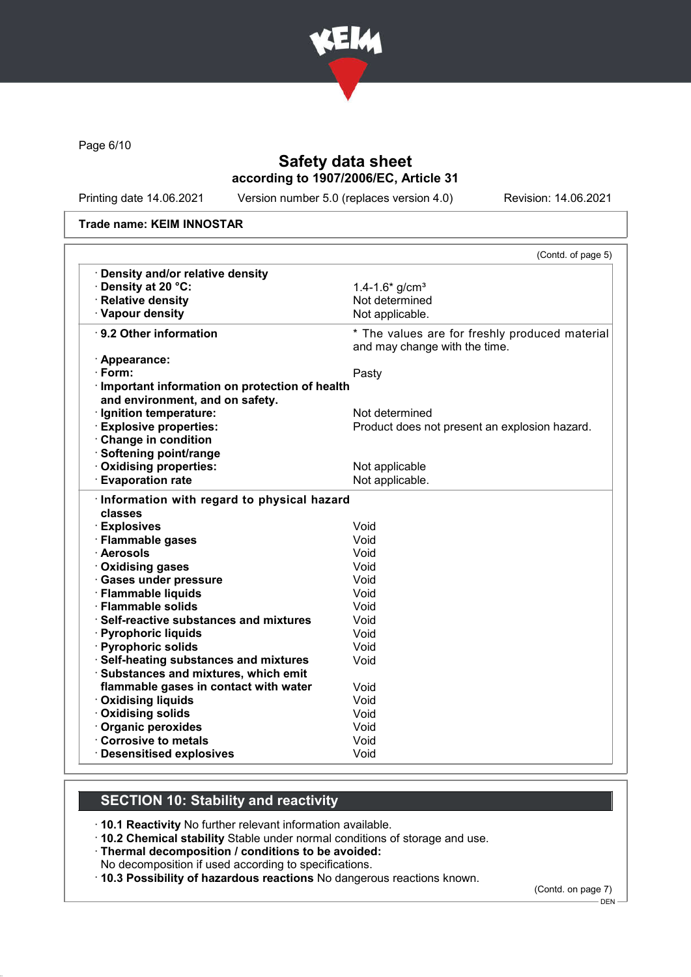

Page 6/10

# Safety data sheet according to 1907/2006/EC, Article 31

Printing date 14.06.2021 Version number 5.0 (replaces version 4.0) Revision: 14.06.2021

#### Trade name: KEIM INNOSTAR

|                                                                                    | (Contd. of page 5)                                                              |
|------------------------------------------------------------------------------------|---------------------------------------------------------------------------------|
| · Density and/or relative density                                                  |                                                                                 |
| · Density at 20 °C:                                                                | 1.4-1.6* $q/cm3$                                                                |
| · Relative density                                                                 | Not determined                                                                  |
| · Vapour density                                                                   | Not applicable.                                                                 |
| ⋅ 9.2 Other information                                                            | * The values are for freshly produced material<br>and may change with the time. |
| · Appearance:                                                                      |                                                                                 |
| · Form:                                                                            | Pasty                                                                           |
| · Important information on protection of health<br>and environment, and on safety. |                                                                                 |
| · Ignition temperature:                                                            | Not determined                                                                  |
| <b>Explosive properties:</b>                                                       | Product does not present an explosion hazard.                                   |
| Change in condition                                                                |                                                                                 |
| · Softening point/range                                                            |                                                                                 |
| Oxidising properties:                                                              | Not applicable                                                                  |
| <b>Evaporation rate</b>                                                            | Not applicable.                                                                 |
| · Information with regard to physical hazard<br>classes                            | Void                                                                            |
| · Explosives                                                                       | Void                                                                            |
| · Flammable gases<br>· Aerosols                                                    | Void                                                                            |
| · Oxidising gases                                                                  | Void                                                                            |
| · Gases under pressure                                                             | Void                                                                            |
| · Flammable liquids                                                                | Void                                                                            |
| · Flammable solids                                                                 | Void                                                                            |
|                                                                                    |                                                                                 |
|                                                                                    |                                                                                 |
| ⋅ Self-reactive substances and mixtures                                            | Void                                                                            |
|                                                                                    | Void                                                                            |
| · Pyrophoric liquids<br>· Pyrophoric solids                                        | Void<br>Void                                                                    |
| · Self-heating substances and mixtures                                             |                                                                                 |
| · Substances and mixtures, which emit<br>flammable gases in contact with water     | Void                                                                            |
| · Oxidising liquids                                                                | Void                                                                            |
| · Oxidising solids                                                                 | Void                                                                            |
| Organic peroxides                                                                  | Void                                                                            |
| Corrosive to metals                                                                | Void                                                                            |

# SECTION 10: Stability and reactivity

· 10.1 Reactivity No further relevant information available.

- · 10.2 Chemical stability Stable under normal conditions of storage and use.
- · Thermal decomposition / conditions to be avoided:
- No decomposition if used according to specifications.
- · 10.3 Possibility of hazardous reactions No dangerous reactions known.

(Contd. on page 7)

DEN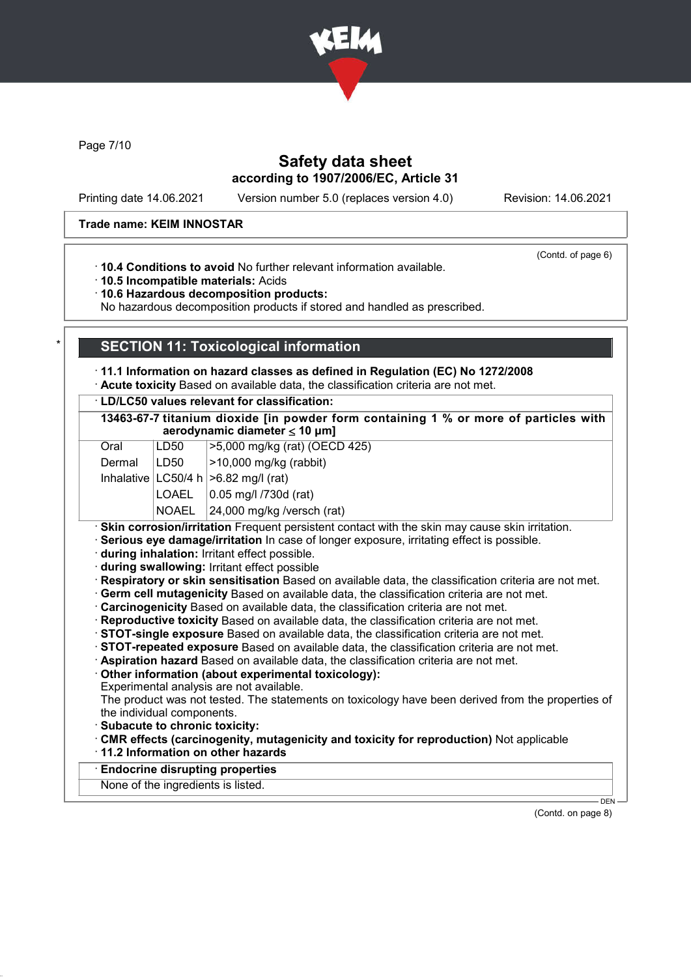

Page 7/10

## Safety data sheet according to 1907/2006/EC, Article 31

Printing date 14.06.2021 Version number 5.0 (replaces version 4.0) Revision: 14.06.2021

#### Trade name: KEIM INNOSTAR

(Contd. of page 6)

· 10.4 Conditions to avoid No further relevant information available.

· 10.5 Incompatible materials: Acids

· 10.6 Hazardous decomposition products:

No hazardous decomposition products if stored and handled as prescribed.

### **SECTION 11: Toxicological information**

· 11.1 Information on hazard classes as defined in Regulation (EC) No 1272/2008

· Acute toxicity Based on available data, the classification criteria are not met.

· LD/LC50 values relevant for classification:

|            |                    | 13463-67-7 titanium dioxide [in powder form containing 1 % or more of particles with<br>aerodynamic diameter $\leq 10 \mu m$ ] |
|------------|--------------------|--------------------------------------------------------------------------------------------------------------------------------|
| $\sim$ --1 | $\overline{1}$ DEN | $\mathsf{L} \mathsf{E}$ 000 m $\mathsf{m}$ (x (x at) (OFCD 405)                                                                |

| Oral          | LD50 | >5,000 mg/kg (rat) (OECD 425)               |
|---------------|------|---------------------------------------------|
| Dermal   LD50 |      | $ >$ 10,000 mg/kg (rabbit)                  |
|               |      | Inhalative $ LC50/4 h  > 6.82$ mg/l (rat)   |
|               |      | $\vert$ LOAEL $\vert$ 0.05 mg/l /730d (rat) |
|               |      |                                             |

 $NOAEL$   $|24,000$  mg/kg /versch (rat)

· Skin corrosion/irritation Frequent persistent contact with the skin may cause skin irritation.

· Serious eye damage/irritation In case of longer exposure, irritating effect is possible.

· during inhalation: Irritant effect possible.

· during swallowing: Irritant effect possible

· Respiratory or skin sensitisation Based on available data, the classification criteria are not met.

· Germ cell mutagenicity Based on available data, the classification criteria are not met.

- · Carcinogenicity Based on available data, the classification criteria are not met.
- · Reproductive toxicity Based on available data, the classification criteria are not met.
- · STOT-single exposure Based on available data, the classification criteria are not met.
- · STOT-repeated exposure Based on available data, the classification criteria are not met.
- · Aspiration hazard Based on available data, the classification criteria are not met.
- · Other information (about experimental toxicology):
- Experimental analysis are not available.

The product was not tested. The statements on toxicology have been derived from the properties of the individual components.

- · Subacute to chronic toxicity:
- · CMR effects (carcinogenity, mutagenicity and toxicity for reproduction) Not applicable
- · 11.2 Information on other hazards

**Endocrine disrupting properties** 

None of the ingredients is listed.

(Contd. on page 8)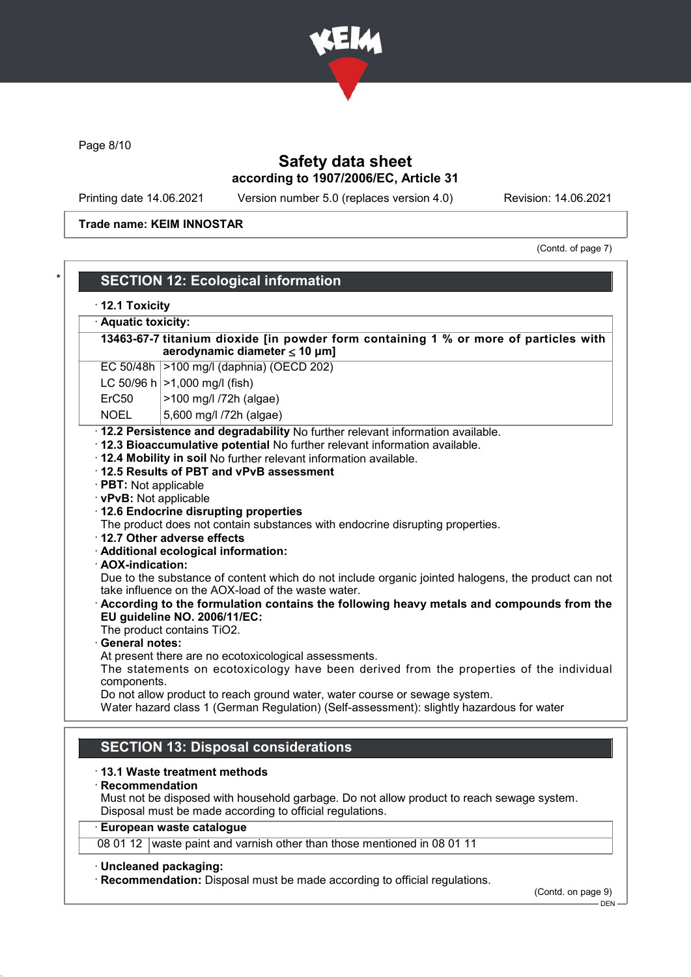

Page 8/10

# Safety data sheet according to 1907/2006/EC, Article 31

Printing date 14.06.2021 Version number 5.0 (replaces version 4.0) Revision: 14.06.2021

Trade name: KEIM INNOSTAR

(Contd. of page 7)

|                                                                                                                                                   | $\cdot$ 12.1 Toxicity                                                                                                                                                                                                                                                                                                                                                                                                                                                                                                                                                                                                                                                                                                                                                                                                                                                                                                                                                                                                                            |  |  |
|---------------------------------------------------------------------------------------------------------------------------------------------------|--------------------------------------------------------------------------------------------------------------------------------------------------------------------------------------------------------------------------------------------------------------------------------------------------------------------------------------------------------------------------------------------------------------------------------------------------------------------------------------------------------------------------------------------------------------------------------------------------------------------------------------------------------------------------------------------------------------------------------------------------------------------------------------------------------------------------------------------------------------------------------------------------------------------------------------------------------------------------------------------------------------------------------------------------|--|--|
| · Aquatic toxicity:<br>13463-67-7 titanium dioxide [in powder form containing 1 % or more of particles with<br>aerodynamic diameter $\leq 10$ µm] |                                                                                                                                                                                                                                                                                                                                                                                                                                                                                                                                                                                                                                                                                                                                                                                                                                                                                                                                                                                                                                                  |  |  |
|                                                                                                                                                   |                                                                                                                                                                                                                                                                                                                                                                                                                                                                                                                                                                                                                                                                                                                                                                                                                                                                                                                                                                                                                                                  |  |  |
|                                                                                                                                                   | LC 50/96 h $ >1,000$ mg/l (fish)                                                                                                                                                                                                                                                                                                                                                                                                                                                                                                                                                                                                                                                                                                                                                                                                                                                                                                                                                                                                                 |  |  |
| ErC50                                                                                                                                             | >100 mg/l /72h (algae)                                                                                                                                                                                                                                                                                                                                                                                                                                                                                                                                                                                                                                                                                                                                                                                                                                                                                                                                                                                                                           |  |  |
| <b>NOEL</b>                                                                                                                                       | 5,600 mg/l /72h (algae)                                                                                                                                                                                                                                                                                                                                                                                                                                                                                                                                                                                                                                                                                                                                                                                                                                                                                                                                                                                                                          |  |  |
| · PBT: Not applicable<br>· vPvB: Not applicable<br>· AOX-indication:<br><b>General notes:</b><br>components.                                      | · 12.3 Bioaccumulative potential No further relevant information available.<br>. 12.4 Mobility in soil No further relevant information available.<br>12.5 Results of PBT and vPvB assessment<br>12.6 Endocrine disrupting properties<br>The product does not contain substances with endocrine disrupting properties.<br>· 12.7 Other adverse effects<br>· Additional ecological information:<br>Due to the substance of content which do not include organic jointed halogens, the product can not<br>take influence on the AOX-load of the waste water.<br>According to the formulation contains the following heavy metals and compounds from the<br>EU guideline NO. 2006/11/EC:<br>The product contains TiO2.<br>At present there are no ecotoxicological assessments.<br>The statements on ecotoxicology have been derived from the properties of the individual<br>Do not allow product to reach ground water, water course or sewage system.<br>Water hazard class 1 (German Regulation) (Self-assessment): slightly hazardous for water |  |  |
|                                                                                                                                                   | <b>SECTION 13: Disposal considerations</b>                                                                                                                                                                                                                                                                                                                                                                                                                                                                                                                                                                                                                                                                                                                                                                                                                                                                                                                                                                                                       |  |  |
| $\cdot$ Recommendation                                                                                                                            | 13.1 Waste treatment methods<br>Must not be disposed with household garbage. Do not allow product to reach sewage system.<br>Disposal must be made according to official regulations.                                                                                                                                                                                                                                                                                                                                                                                                                                                                                                                                                                                                                                                                                                                                                                                                                                                            |  |  |
|                                                                                                                                                   | European waste catalogue                                                                                                                                                                                                                                                                                                                                                                                                                                                                                                                                                                                                                                                                                                                                                                                                                                                                                                                                                                                                                         |  |  |
|                                                                                                                                                   | 08 01 12 waste paint and varnish other than those mentioned in 08 01 11                                                                                                                                                                                                                                                                                                                                                                                                                                                                                                                                                                                                                                                                                                                                                                                                                                                                                                                                                                          |  |  |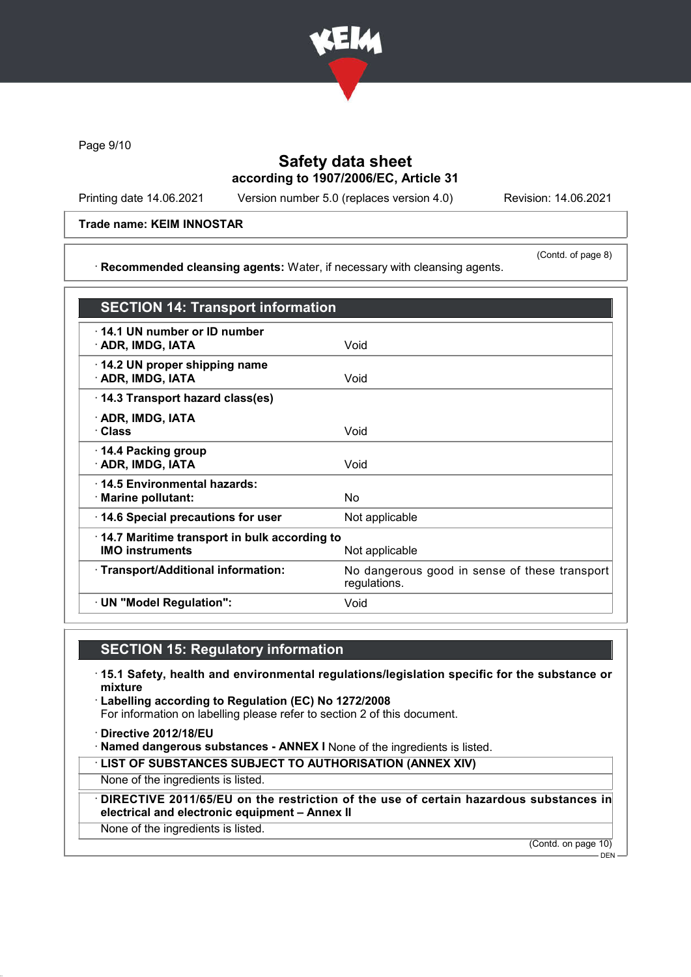

Page 9/10

## Safety data sheet according to 1907/2006/EC, Article 31

Printing date 14.06.2021 Version number 5.0 (replaces version 4.0) Revision: 14.06.2021

#### Trade name: KEIM INNOSTAR

· Recommended cleansing agents: Water, if necessary with cleansing agents.

(Contd. of page 8)

| <b>SECTION 14: Transport information</b>                               |                                                               |
|------------------------------------------------------------------------|---------------------------------------------------------------|
| ⋅ 14.1 UN number or ID number<br>· ADR, IMDG, IATA                     | Void                                                          |
| $\cdot$ 14.2 UN proper shipping name<br>· ADR, IMDG, IATA              | Void                                                          |
| 14.3 Transport hazard class(es)                                        |                                                               |
| · ADR, IMDG, IATA<br>· Class                                           | Void                                                          |
| ⋅ 14.4 Packing group<br>· ADR, IMDG, IATA                              | Void                                                          |
| ⋅14.5 Environmental hazards:<br>· Marine pollutant:                    | No.                                                           |
| 14.6 Special precautions for user                                      | Not applicable                                                |
| 14.7 Maritime transport in bulk according to<br><b>IMO instruments</b> | Not applicable                                                |
| · Transport/Additional information:                                    | No dangerous good in sense of these transport<br>regulations. |
| · UN "Model Regulation":                                               | Void                                                          |

## SECTION 15: Regulatory information

- · 15.1 Safety, health and environmental regulations/legislation specific for the substance or mixture
- · Labelling according to Regulation (EC) No 1272/2008 For information on labelling please refer to section 2 of this document.
- · Directive 2012/18/EU
- · Named dangerous substances ANNEX I None of the ingredients is listed.
- · LIST OF SUBSTANCES SUBJECT TO AUTHORISATION (ANNEX XIV)

None of the ingredients is listed.

- · DIRECTIVE 2011/65/EU on the restriction of the use of certain hazardous substances in electrical and electronic equipment – Annex II
- None of the ingredients is listed.

(Contd. on page 10)

 $-$  DEN